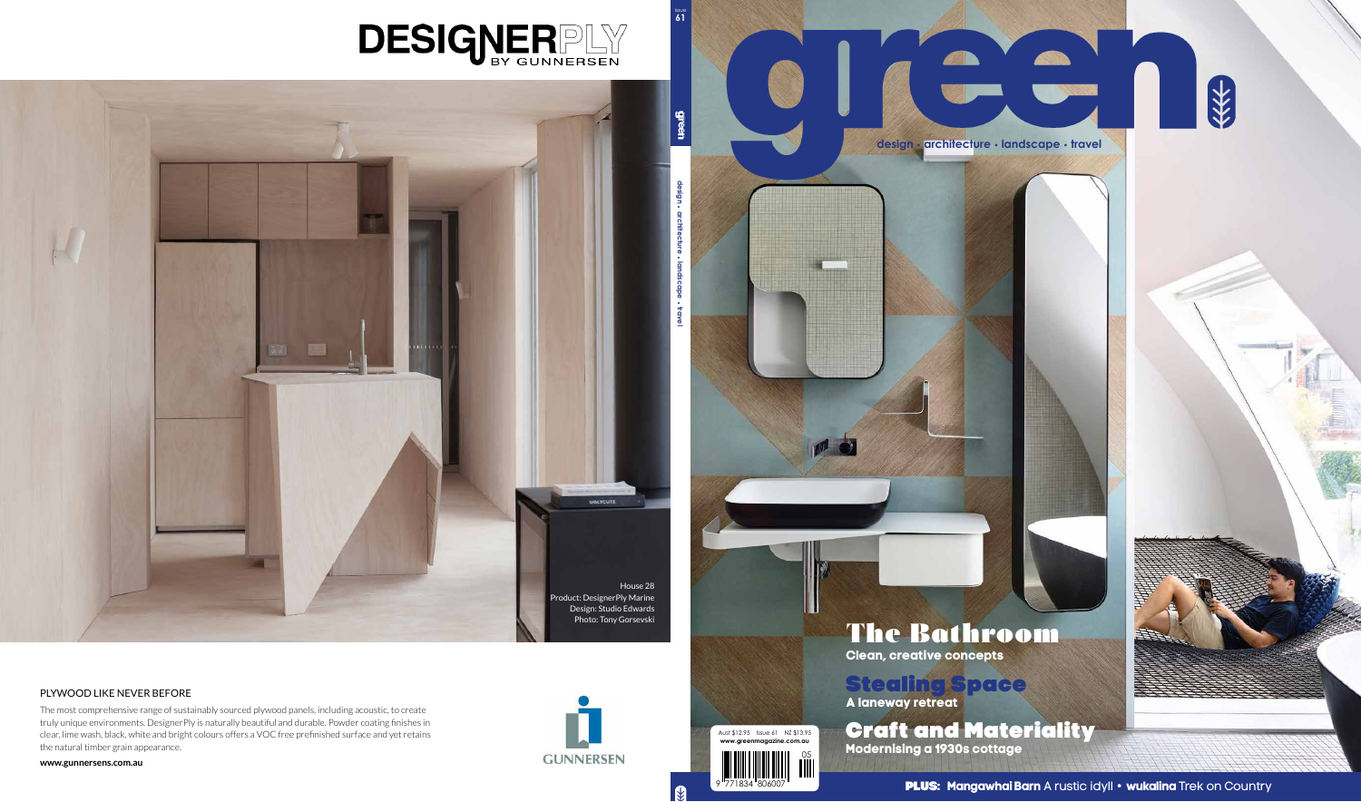

9 771834 806007 9 771834 806007 PLUS: **Mangawhai Barn** A rustic idyll **• wukalina** Trek on Country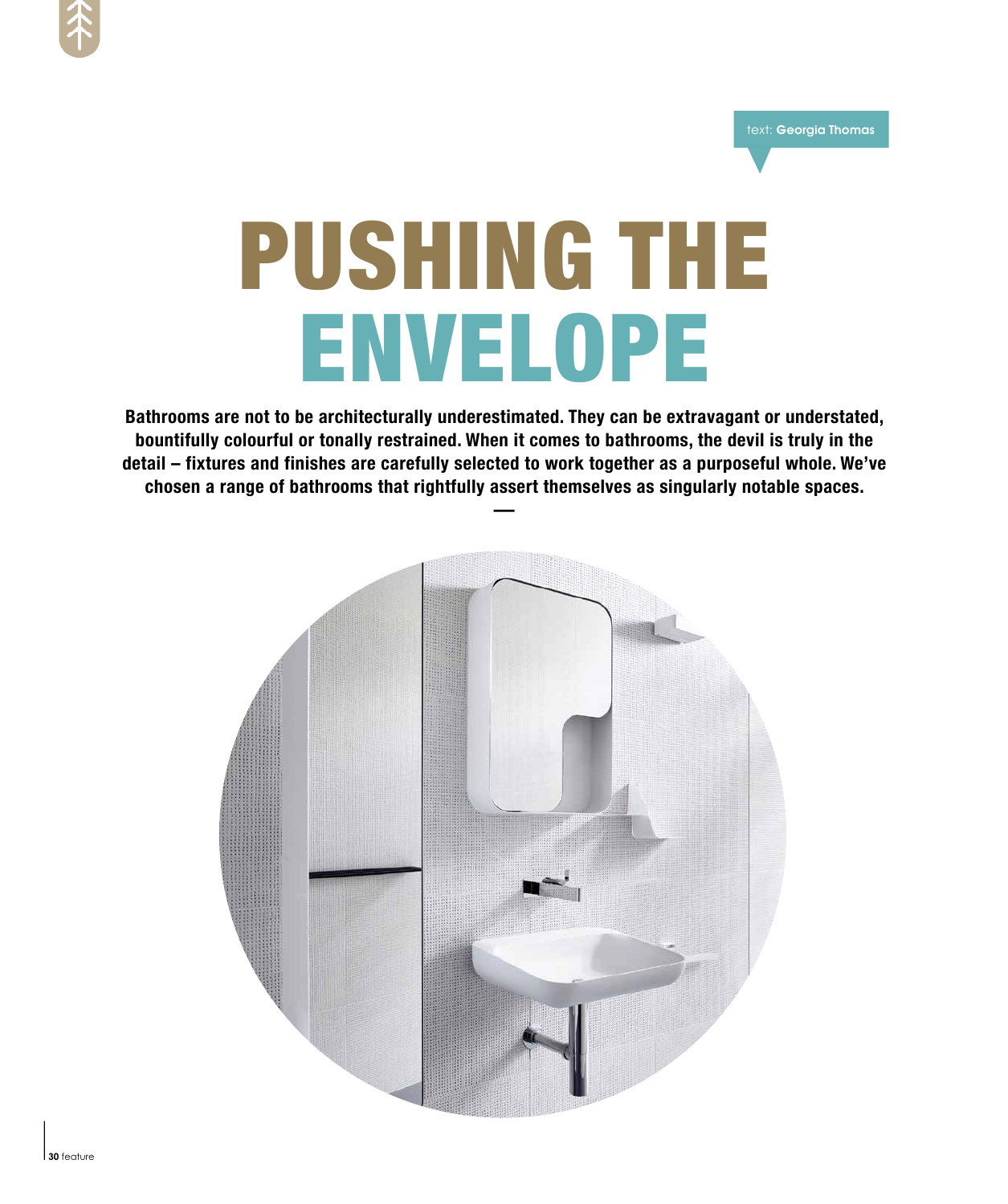

text: Georgia Thomas

# PUSHING THE Envelope

**Bathrooms are not to be architecturally underestimated. They can be extravagant or understated, bountifully colourful or tonally restrained. When it comes to bathrooms, the devil is truly in the detail – fixtures and finishes are carefully selected to work together as a purposeful whole. We've chosen a range of bathrooms that rightfully assert themselves as singularly notable spaces.** rted<br>ass<br>—